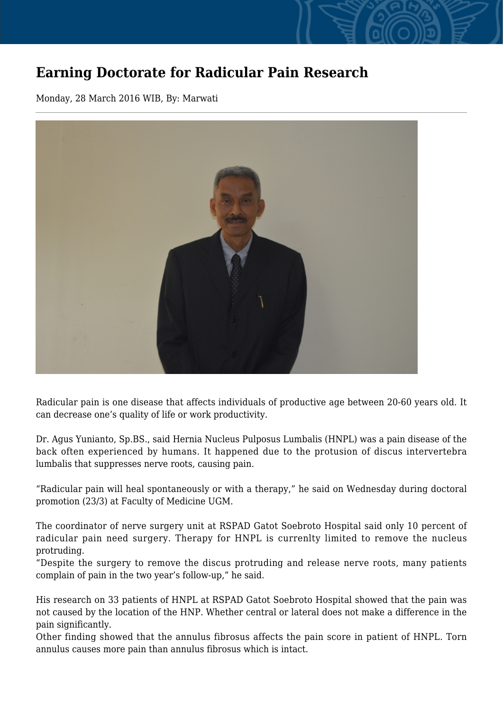## **Earning Doctorate for Radicular Pain Research**

Monday, 28 March 2016 WIB, By: Marwati



Radicular pain is one disease that affects individuals of productive age between 20-60 years old. It can decrease one's quality of life or work productivity.

Dr. Agus Yunianto, Sp.BS., said Hernia Nucleus Pulposus Lumbalis (HNPL) was a pain disease of the back often experienced by humans. It happened due to the protusion of discus intervertebra lumbalis that suppresses nerve roots, causing pain.

"Radicular pain will heal spontaneously or with a therapy," he said on Wednesday during doctoral promotion (23/3) at Faculty of Medicine UGM.

The coordinator of nerve surgery unit at RSPAD Gatot Soebroto Hospital said only 10 percent of radicular pain need surgery. Therapy for HNPL is currenlty limited to remove the nucleus protruding.

"Despite the surgery to remove the discus protruding and release nerve roots, many patients complain of pain in the two year's follow-up," he said.

His research on 33 patients of HNPL at RSPAD Gatot Soebroto Hospital showed that the pain was not caused by the location of the HNP. Whether central or lateral does not make a difference in the pain significantly.

Other finding showed that the annulus fibrosus affects the pain score in patient of HNPL. Torn annulus causes more pain than annulus fibrosus which is intact.